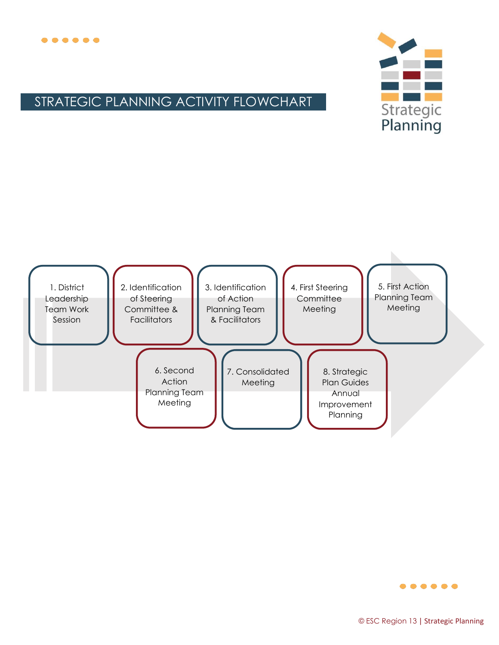